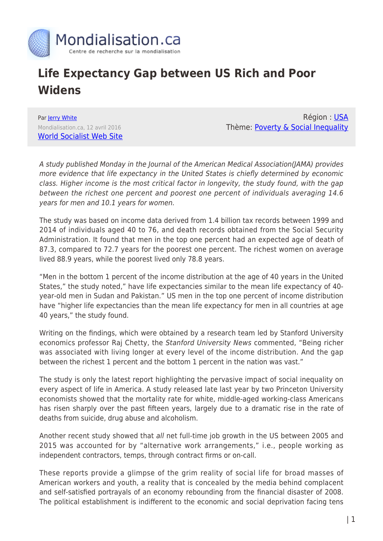

## **Life Expectancy Gap between US Rich and Poor Widens**

Par [Jerry White](https://www.mondialisation.ca/author/jerry-white) Mondialisation.ca, 12 avril 2016 [World Socialist Web Site](https://www.wsws.org/en/articles/2016/04/12/life-a12.html)

Région : [USA](https://www.mondialisation.ca/region/usa) Thème: [Poverty & Social Inequality](https://www.mondialisation.ca/theme/poverty-social-inequality)

A study published Monday in the Journal of the American Medical Association(JAMA) provides more evidence that life expectancy in the United States is chiefly determined by economic class. Higher income is the most critical factor in longevity, the study found, with the gap between the richest one percent and poorest one percent of individuals averaging 14.6 years for men and 10.1 years for women.

The study was based on income data derived from 1.4 billion tax records between 1999 and 2014 of individuals aged 40 to 76, and death records obtained from the Social Security Administration. It found that men in the top one percent had an expected age of death of 87.3, compared to 72.7 years for the poorest one percent. The richest women on average lived 88.9 years, while the poorest lived only 78.8 years.

"Men in the bottom 1 percent of the income distribution at the age of 40 years in the United States," the study noted," have life expectancies similar to the mean life expectancy of 40 year-old men in Sudan and Pakistan." US men in the top one percent of income distribution have "higher life expectancies than the mean life expectancy for men in all countries at age 40 years," the study found.

Writing on the findings, which were obtained by a research team led by Stanford University economics professor Raj Chetty, the Stanford University News commented, "Being richer was associated with living longer at every level of the income distribution. And the gap between the richest 1 percent and the bottom 1 percent in the nation was vast."

The study is only the latest report highlighting the pervasive impact of social inequality on every aspect of life in America. A study released late last year by two Princeton University economists showed that the mortality rate for white, middle-aged working-class Americans has risen sharply over the past fifteen years, largely due to a dramatic rise in the rate of deaths from suicide, drug abuse and alcoholism.

Another recent study showed that all net full-time job growth in the US between 2005 and 2015 was accounted for by "alternative work arrangements," i.e., people working as independent contractors, temps, through contract firms or on-call.

These reports provide a glimpse of the grim reality of social life for broad masses of American workers and youth, a reality that is concealed by the media behind complacent and self-satisfied portrayals of an economy rebounding from the financial disaster of 2008. The political establishment is indifferent to the economic and social deprivation facing tens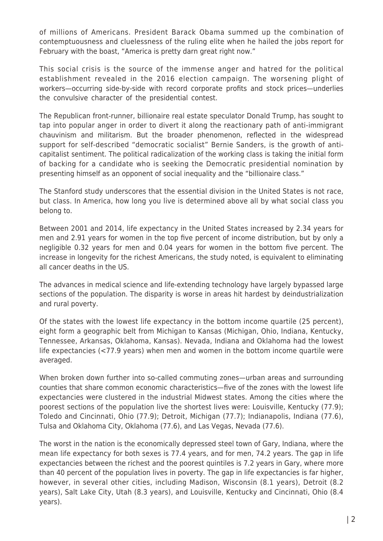of millions of Americans. President Barack Obama summed up the combination of contemptuousness and cluelessness of the ruling elite when he hailed the jobs report for February with the boast, "America is pretty darn great right now."

This social crisis is the source of the immense anger and hatred for the political establishment revealed in the 2016 election campaign. The worsening plight of workers—occurring side-by-side with record corporate profits and stock prices—underlies the convulsive character of the presidential contest.

The Republican front-runner, billionaire real estate speculator Donald Trump, has sought to tap into popular anger in order to divert it along the reactionary path of anti-immigrant chauvinism and militarism. But the broader phenomenon, reflected in the widespread support for self-described "democratic socialist" Bernie Sanders, is the growth of anticapitalist sentiment. The political radicalization of the working class is taking the initial form of backing for a candidate who is seeking the Democratic presidential nomination by presenting himself as an opponent of social inequality and the "billionaire class."

The Stanford study underscores that the essential division in the United States is not race, but class. In America, how long you live is determined above all by what social class you belong to.

Between 2001 and 2014, life expectancy in the United States increased by 2.34 years for men and 2.91 years for women in the top five percent of income distribution, but by only a negligible 0.32 years for men and 0.04 years for women in the bottom five percent. The increase in longevity for the richest Americans, the study noted, is equivalent to eliminating all cancer deaths in the US.

The advances in medical science and life-extending technology have largely bypassed large sections of the population. The disparity is worse in areas hit hardest by deindustrialization and rural poverty.

Of the states with the lowest life expectancy in the bottom income quartile (25 percent), eight form a geographic belt from Michigan to Kansas (Michigan, Ohio, Indiana, Kentucky, Tennessee, Arkansas, Oklahoma, Kansas). Nevada, Indiana and Oklahoma had the lowest life expectancies (<77.9 years) when men and women in the bottom income quartile were averaged.

When broken down further into so-called commuting zones—urban areas and surrounding counties that share common economic characteristics—five of the zones with the lowest life expectancies were clustered in the industrial Midwest states. Among the cities where the poorest sections of the population live the shortest lives were: Louisville, Kentucky (77.9); Toledo and Cincinnati, Ohio (77.9); Detroit, Michigan (77.7); Indianapolis, Indiana (77.6), Tulsa and Oklahoma City, Oklahoma (77.6), and Las Vegas, Nevada (77.6).

The worst in the nation is the economically depressed steel town of Gary, Indiana, where the mean life expectancy for both sexes is 77.4 years, and for men, 74.2 years. The gap in life expectancies between the richest and the poorest quintiles is 7.2 years in Gary, where more than 40 percent of the population lives in poverty. The gap in life expectancies is far higher, however, in several other cities, including Madison, Wisconsin (8.1 years), Detroit (8.2 years), Salt Lake City, Utah (8.3 years), and Louisville, Kentucky and Cincinnati, Ohio (8.4 years).